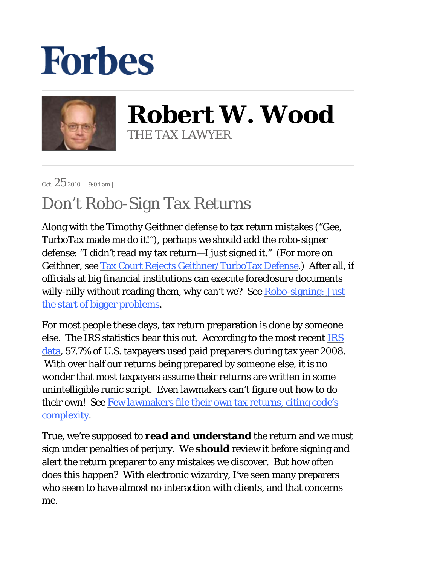## **Forbes**



**Robert W. Wood** THE TAX LAWYER

Oct.  $25$  2010 - 9:04 am |

## Don't Robo-Sign Tax Returns

Along with the Timothy Geithner defense to tax return mistakes ("Gee, TurboTax made me do it!"), perhaps we should add the robo-signer defense: "I didn't read my tax return—I just signed it." (For more on Geithner, see Tax Court Rejects Geithner/TurboTax Defense.) After all, if officials at big financial institutions can execute foreclosure documents willy-nilly without reading them, why can't we? See Robo-signing: Just the start of bigger problems.

For most people these days, tax return preparation is done by someone else. The IRS statistics bear this out. According to the most recent IRS data, 57.7% of U.S. taxpayers used paid preparers during tax year 2008. With over half our returns being prepared by someone else, it is no wonder that most taxpayers assume their returns are written in some unintelligible runic script. Even lawmakers can't figure out how to do their own! See Few lawmakers file their own tax returns, citing code's complexity.

True, we're supposed to *read and understand* the return and we must sign under penalties of perjury. We *should* review it before signing and alert the return preparer to any mistakes we discover. But how often does this happen? With electronic wizardry, I've seen many preparers who seem to have almost no interaction with clients, and that concerns me.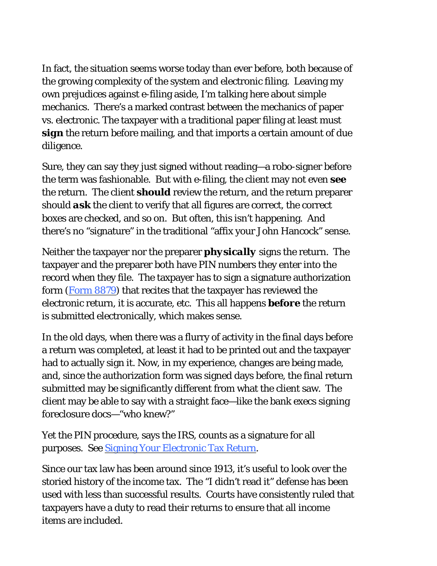In fact, the situation seems worse today than ever before, both because of the growing complexity of the system and electronic filing. Leaving my own prejudices against e-filing aside, I'm talking here about simple mechanics. There's a marked contrast between the mechanics of paper vs. electronic. The taxpayer with a traditional paper filing at least must *sign* the return before mailing, and that imports a certain amount of due diligence.

Sure, they can say they just signed without reading—a robo-signer before the term was fashionable. But with e-filing, the client may not even *see* the return. The client *should* review the return, and the return preparer should *ask* the client to verify that all figures are correct, the correct boxes are checked, and so on. But often, this isn't happening. And there's no "signature" in the traditional "affix your John Hancock" sense.

Neither the taxpayer nor the preparer *physically* signs the return. The taxpayer and the preparer both have PIN numbers they enter into the record when they file. The taxpayer has to sign a signature authorization form (Form 8879) that recites that the taxpayer has reviewed the electronic return, it is accurate, etc. This all happens *before* the return is submitted electronically, which makes sense.

In the old days, when there was a flurry of activity in the final days before a return was completed, at least it had to be printed out and the taxpayer had to actually sign it. Now, in my experience, changes are being made, and, since the authorization form was signed days before, the final return submitted may be significantly different from what the client saw. The client may be able to say with a straight face—like the bank execs signing foreclosure docs—"who knew?"

Yet the PIN procedure, says the IRS, counts as a signature for all purposes. See Signing Your Electronic Tax Return.

Since our tax law has been around since 1913, it's useful to look over the storied history of the income tax. The "I didn't read it" defense has been used with less than successful results. Courts have consistently ruled that taxpayers have a duty to read their returns to ensure that all income items are included.